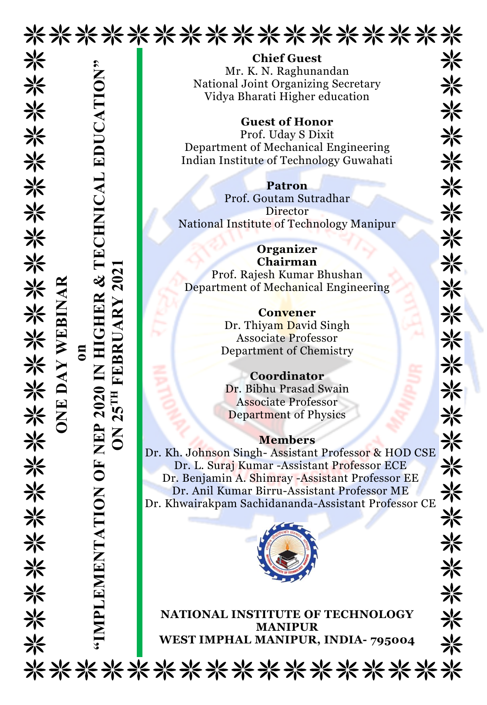

米

米

米

米

米

米

兴

米

米

米

☀

米米米

米

米

米

米

兴

米

米

兴

Chief Guest Mr. K. N. Raghunandan National Joint Organizing Secretary Vidya Bharati Higher education

Guest of Honor

Prof. Uday S Dixit Department of Mechanical Engineering Indian Institute of Technology Guwahati

Patron Prof. Goutam Sutradhar Director National Institute of Technology Manipur

**Organizer** Chairman Prof. Rajesh Kumar Bhushan Department of Mechanical Engineering

> **Convener** Dr. Thiyam David Singh Associate Professor Department of Chemistry

Coordinator Dr. Bibhu Prasad Swain Associate Professor Department of Physics

## Members

Dr. Kh. Johnson Singh- Assistant Professor & HOD CSE Dr. L. Suraj Kumar -Assistant Professor ECE Dr. Benjamin A. Shimray -Assistant Professor EE Dr. Anil Kumar Birru-Assistant Professor ME Dr. Khwairakpam Sachidananda-Assistant Professor CE MEST IMPHAL MANIPUR (State of Technology Manipur<br>
Manuscript (Manipuro Continue of The Continue of The Continue of The Continue of Technology Guwahati<br>
Prof. Gontained Ingineering<br>
Indian Institute of Technology Guwahati<br>



NATIONAL INSTITUTE OF TECHNOLOGY MANIPUR

米 米 米 米 兴 米 米 兴 米 ※ ☀ ☀ 米 米 米 兴 兴 兴 兴 米 米 米 米

\*\*\*\*\*\*\*\*\*\*\*\*\*\*\*\*\*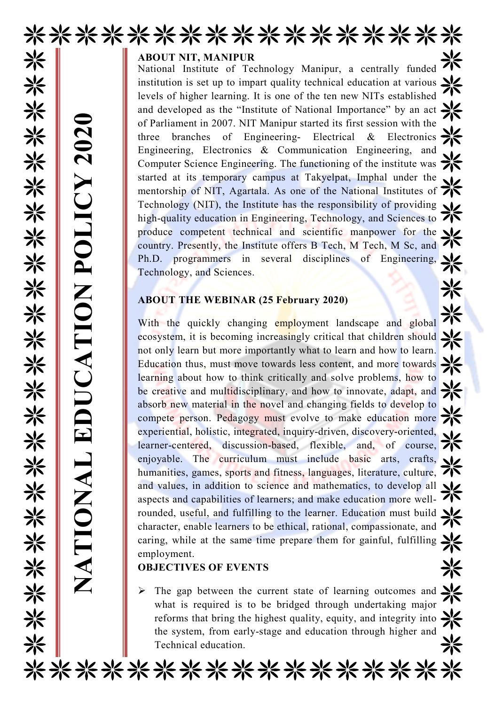

## ABOUT NIT, MANIPUR

National Institute of Technology Manipur, a centrally funded institution is set up to impart quality technical education at various levels of higher learning. It is one of the ten new NITs established and developed as the "Institute of National Importance" by an act of Parliament in 2007. NIT Manipur started its first session with the three branches of Engineering- Electrical & Electronics Engineering, Electronics & Communication Engineering, and Computer Science Engineering. The functioning of the institute was started at its temporary campus at Takyelpat, Imphal under the mentorship of NIT, Agartala. As one of the National Institutes of  $\overrightarrow{ }$ Technology (NIT), the Institute has the responsibility of providing high-quality education in Engineering, Technology, and Sciences to  $\overrightarrow{ }$ produce competent technical and scientific manpower for the country. Presently, the Institute offers B Tech, M Tech, M Sc, and Ph.D. programmers in several disciplines of Engineering, Technology, and Sciences.

## ABOUT THE WEBINAR (25 February 2020)

With the quickly changing employment landscape and global ecosystem, it is becoming increasingly critical that children should not only learn but more importantly what to learn and how to learn. Education thus, must move towards less content, and more towards learning about how to think critically and solve problems, how to be creative and multidisciplinary, and how to innovate, adapt, and  $\mathcal{H}$ absorb new material in the novel and changing fields to develop to compete person. Pedagogy must evolve to make education more experiential, holistic, integrated, inquiry-driven, discovery-oriented, learner-centered, discussion-based, flexible, and, of course, enjoyable. The curriculum must include basic arts, crafts, humanities, games, sports and fitness, languages, literature, culture, and values, in addition to science and mathematics, to develop all  $\sqrt{}$ aspects and capabilities of learners; and make education more wellrounded, useful, and fulfilling to the learner. Education must build  $\mathbf{N}$ character, enable learners to be ethical, rational, compassionate, and caring, while at the same time prepare them for gainful, fulfilling  $\sum$ employment. of Parliament in 2007. N<br>
three branches of 1<br>
Engineering, Electronics<br>
Computer Science Engin<br>
started at its temporary<br>
mentorship of NIT, Aga<br>
Technology (NIT), the I<br>
ind-quality education is<br>
produce competent tec<br>
c

## OBJECTIVES OF EVENTS

 $\triangleright$  The gap between the current state of learning outcomes and  $\cdot$ what is required is to be bridged through undertaking major reforms that bring the highest quality, equity, and integrity into the system, from early-stage and education through higher and

\*\*\*\*\*\*\*\*\*\*\*\*\*\*\*\*\*